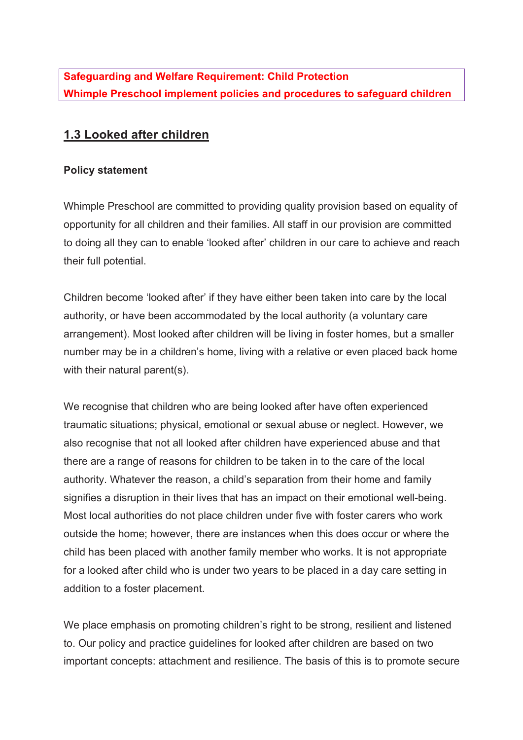**Safeguarding and Welfare Requirement: Child Protection Whimple Preschool implement policies and procedures to safeguard children**

## **1.3 Looked after children**

## **Policy statement**

Whimple Preschool are committed to providing quality provision based on equality of opportunity for all children and their families. All staff in our provision are committed to doing all they can to enable 'looked after' children in our care to achieve and reach their full potential.

Children become 'looked after' if they have either been taken into care by the local authority, or have been accommodated by the local authority (a voluntary care arrangement). Most looked after children will be living in foster homes, but a smaller number may be in a children's home, living with a relative or even placed back home with their natural parent(s).

We recognise that children who are being looked after have often experienced traumatic situations; physical, emotional or sexual abuse or neglect. However, we also recognise that not all looked after children have experienced abuse and that there are a range of reasons for children to be taken in to the care of the local authority. Whatever the reason, a child's separation from their home and family signifies a disruption in their lives that has an impact on their emotional well-being. Most local authorities do not place children under five with foster carers who work outside the home; however, there are instances when this does occur or where the child has been placed with another family member who works. It is not appropriate for a looked after child who is under two years to be placed in a day care setting in addition to a foster placement.

We place emphasis on promoting children's right to be strong, resilient and listened to. Our policy and practice guidelines for looked after children are based on two important concepts: attachment and resilience. The basis of this is to promote secure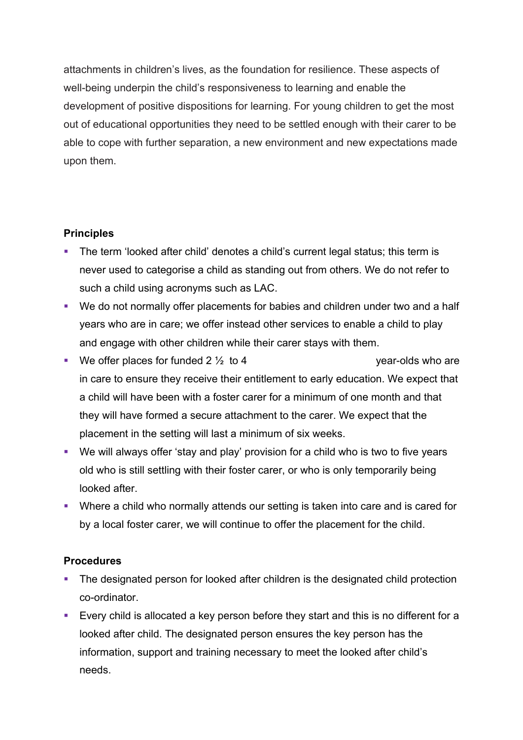attachments in children's lives, as the foundation for resilience. These aspects of well-being underpin the child's responsiveness to learning and enable the development of positive dispositions for learning. For young children to get the most out of educational opportunities they need to be settled enough with their carer to be able to cope with further separation, a new environment and new expectations made upon them.

## **Principles**

- The term 'looked after child' denotes a child's current legal status; this term is never used to categorise a child as standing out from others. We do not refer to such a child using acronyms such as LAC.
- We do not normally offer placements for babies and children under two and a half years who are in care; we offer instead other services to enable a child to play and engage with other children while their carer stays with them.
- We offer places for funded  $2\frac{1}{2}$  to 4 year-olds who are in care to ensure they receive their entitlement to early education. We expect that a child will have been with a foster carer for a minimum of one month and that they will have formed a secure attachment to the carer. We expect that the placement in the setting will last a minimum of six weeks.
- We will always offer 'stay and play' provision for a child who is two to five years old who is still settling with their foster carer, or who is only temporarily being looked after.
- Where a child who normally attends our setting is taken into care and is cared for by a local foster carer, we will continue to offer the placement for the child.

## **Procedures**

- The designated person for looked after children is the designated child protection co-ordinator.
- Every child is allocated a key person before they start and this is no different for a looked after child. The designated person ensures the key person has the information, support and training necessary to meet the looked after child's needs.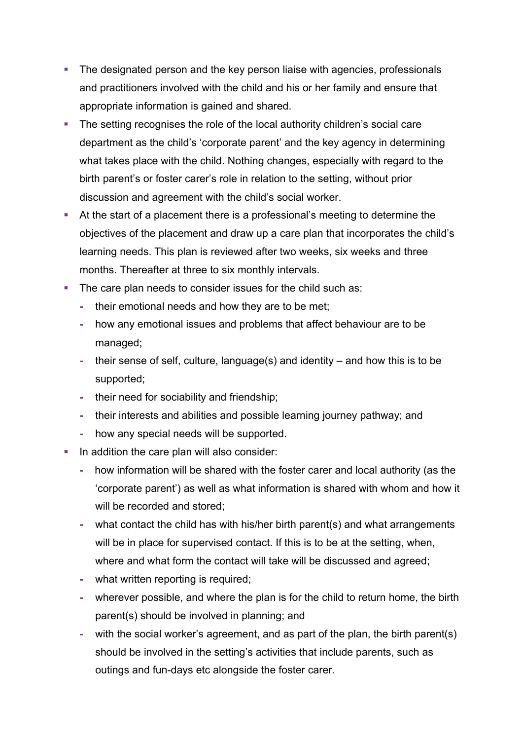- The designated person and the key person liaise with agencies, professionals and practitioners involved with the child and his or her family and ensure that appropriate information is gained and shared.
- The setting recognises the role of the local authority children's social care department as the child's 'corporate parent' and the key agency in determining what takes place with the child. Nothing changes, especially with regard to the birth parent's or foster carer's role in relation to the setting, without prior discussion and agreement with the child's social worker.
- **•** At the start of a placement there is a professional's meeting to determine the objectives of the placement and draw up a care plan that incorporates the child's learning needs. This plan is reviewed after two weeks, six weeks and three months. Thereafter at three to six monthly intervals.
- The care plan needs to consider issues for the child such as:
	- **-** their emotional needs and how they are to be met;
	- **-** how any emotional issues and problems that affect behaviour are to be managed;
	- **-** their sense of self, culture, language(s) and identity and how this is to be supported;
	- **-** their need for sociability and friendship;
	- **-** their interests and abilities and possible learning journey pathway; and
	- **-** how any special needs will be supported.
- In addition the care plan will also consider:
	- **-** how information will be shared with the foster carer and local authority (as the 'corporate parent') as well as what information is shared with whom and how it will be recorded and stored;
	- **-** what contact the child has with his/her birth parent(s) and what arrangements will be in place for supervised contact. If this is to be at the setting, when, where and what form the contact will take will be discussed and agreed;
	- **-** what written reporting is required;
	- **-** wherever possible, and where the plan is for the child to return home, the birth parent(s) should be involved in planning; and
	- **-** with the social worker's agreement, and as part of the plan, the birth parent(s) should be involved in the setting's activities that include parents, such as outings and fun-days etc alongside the foster carer.